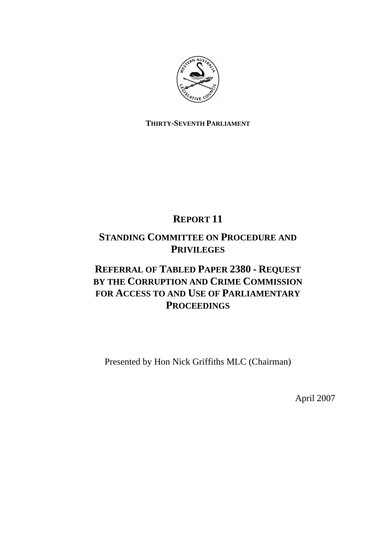

# **THIRTY-SEVENTH PARLIAMENT**

# **REPORT 11**

# **STANDING COMMITTEE ON PROCEDURE AND PRIVILEGES**

# **REFERRAL OF TABLED PAPER 2380 - REQUEST BY THE CORRUPTION AND CRIME COMMISSION FOR ACCESS TO AND USE OF PARLIAMENTARY PROCEEDINGS**

Presented by Hon Nick Griffiths MLC (Chairman)

April 2007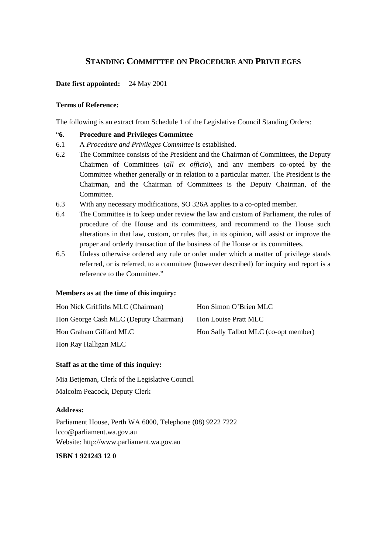# **STANDING COMMITTEE ON PROCEDURE AND PRIVILEGES**

# **Date first appointed:** 24 May 2001

## **Terms of Reference:**

The following is an extract from Schedule 1 of the Legislative Council Standing Orders:

## "**6. Procedure and Privileges Committee**

- 6.1 A *Procedure and Privileges Committee* is established.
- 6.2 The Committee consists of the President and the Chairman of Committees, the Deputy Chairmen of Committees (*all ex officio*), and any members co-opted by the Committee whether generally or in relation to a particular matter. The President is the Chairman, and the Chairman of Committees is the Deputy Chairman, of the Committee.
- 6.3 With any necessary modifications, SO 326A applies to a co-opted member.
- 6.4 The Committee is to keep under review the law and custom of Parliament, the rules of procedure of the House and its committees, and recommend to the House such alterations in that law, custom, or rules that, in its opinion, will assist or improve the proper and orderly transaction of the business of the House or its committees.
- 6.5 Unless otherwise ordered any rule or order under which a matter of privilege stands referred, or is referred, to a committee (however described) for inquiry and report is a reference to the Committee."

## **Members as at the time of this inquiry:**

| Hon Nick Griffiths MLC (Chairman)     | Hon Simon O'Brien MLC                |
|---------------------------------------|--------------------------------------|
| Hon George Cash MLC (Deputy Chairman) | Hon Louise Pratt MLC                 |
| Hon Graham Giffard MLC                | Hon Sally Talbot MLC (co-opt member) |
| Hon Ray Halligan MLC                  |                                      |

### **Staff as at the time of this inquiry:**

Mia Betjeman, Clerk of the Legislative Council Malcolm Peacock, Deputy Clerk

#### **Address:**

Parliament House, Perth WA 6000, Telephone (08) 9222 7222 lcco@parliament.wa.gov.au Website: http://www.parliament.wa.gov.au

## **ISBN 1 921243 12 0**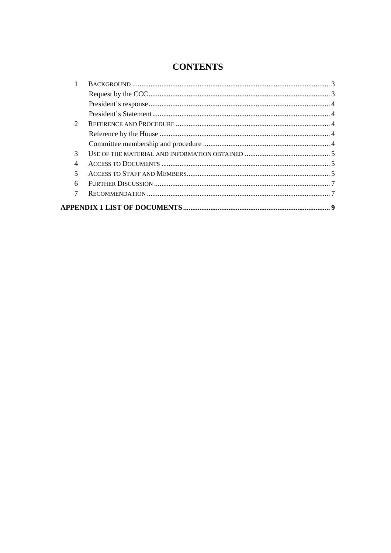# **CONTENTS**

| $\mathcal{D}_{\mathcal{L}}$ |  |
|-----------------------------|--|
|                             |  |
|                             |  |
| 3                           |  |
| 4                           |  |
| 5                           |  |
| 6                           |  |
| 7                           |  |
|                             |  |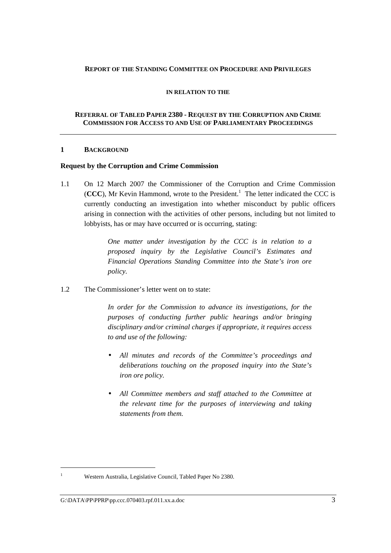## **REPORT OF THE STANDING COMMITTEE ON PROCEDURE AND PRIVILEGES**

#### **IN RELATION TO THE**

## **REFERRAL OF TABLED PAPER 2380 - REQUEST BY THE CORRUPTION AND CRIME COMMISSION FOR ACCESS TO AND USE OF PARLIAMENTARY PROCEEDINGS**

#### **1 BACKGROUND**

#### **Request by the Corruption and Crime Commission**

1.1 On 12 March 2007 the Commissioner of the Corruption and Crime Commission  $(CCC)$ , Mr Kevin Hammond, wrote to the President.<sup>1</sup> The letter indicated the CCC is currently conducting an investigation into whether misconduct by public officers arising in connection with the activities of other persons, including but not limited to lobbyists, has or may have occurred or is occurring, stating:

> *One matter under investigation by the CCC is in relation to a proposed inquiry by the Legislative Council's Estimates and Financial Operations Standing Committee into the State's iron ore policy.*

1.2 The Commissioner's letter went on to state:

*In order for the Commission to advance its investigations, for the purposes of conducting further public hearings and/or bringing disciplinary and/or criminal charges if appropriate, it requires access to and use of the following:* 

- *All minutes and records of the Committee's proceedings and deliberations touching on the proposed inquiry into the State's iron ore policy.*
- *All Committee members and staff attached to the Committee at the relevant time for the purposes of interviewing and taking statements from them.*

 $\overline{a}$ 1

Western Australia, Legislative Council, Tabled Paper No 2380.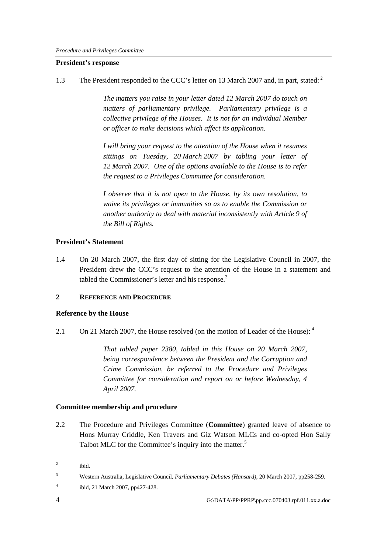### **President's response**

1.3 The President responded to the CCC's letter on 13 March 2007 and, in part, stated:

*The matters you raise in your letter dated 12 March 2007 do touch on matters of parliamentary privilege. Parliamentary privilege is a collective privilege of the Houses. It is not for an individual Member or officer to make decisions which affect its application.* 

*I will bring your request to the attention of the House when it resumes sittings on Tuesday, 20 March 2007 by tabling your letter of 12 March 2007. One of the options available to the House is to refer the request to a Privileges Committee for consideration.* 

*I observe that it is not open to the House, by its own resolution, to waive its privileges or immunities so as to enable the Commission or another authority to deal with material inconsistently with Article 9 of the Bill of Rights.* 

# **President's Statement**

1.4 On 20 March 2007, the first day of sitting for the Legislative Council in 2007, the President drew the CCC's request to the attention of the House in a statement and tabled the Commissioner's letter and his response.<sup>3</sup>

## **2 REFERENCE AND PROCEDURE**

# **Reference by the House**

2.1 On 21 March 2007, the House resolved (on the motion of Leader of the House):  $4\degree$ 

*That tabled paper 2380, tabled in this House on 20 March 2007, being correspondence between the President and the Corruption and Crime Commission, be referred to the Procedure and Privileges Committee for consideration and report on or before Wednesday, 4 April 2007.* 

# **Committee membership and procedure**

2.2 The Procedure and Privileges Committee (**Committee**) granted leave of absence to Hons Murray Criddle, Ken Travers and Giz Watson MLCs and co-opted Hon Sally Talbot MLC for the Committee's inquiry into the matter.<sup>5</sup>

 $\overline{a}$ 

 $2$  ibid.

<sup>3</sup> Western Australia, Legislative Council, *Parliamentary Debates (Hansard),* 20 March 2007, pp258-259.

<sup>&</sup>lt;sup>4</sup> ibid, 21 March 2007, pp427-428.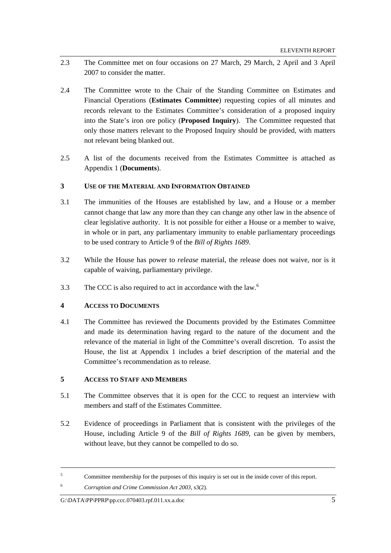- 2.3 The Committee met on four occasions on 27 March, 29 March, 2 April and 3 April 2007 to consider the matter.
- 2.4 The Committee wrote to the Chair of the Standing Committee on Estimates and Financial Operations (**Estimates Committee**) requesting copies of all minutes and records relevant to the Estimates Committee's consideration of a proposed inquiry into the State's iron ore policy (**Proposed Inquiry**). The Committee requested that only those matters relevant to the Proposed Inquiry should be provided, with matters not relevant being blanked out.
- 2.5 A list of the documents received from the Estimates Committee is attached as Appendix 1 (**Documents**).

### **3 USE OF THE MATERIAL AND INFORMATION OBTAINED**

- 3.1 The immunities of the Houses are established by law, and a House or a member cannot change that law any more than they can change any other law in the absence of clear legislative authority. It is not possible for either a House or a member to waive, in whole or in part, any parliamentary immunity to enable parliamentary proceedings to be used contrary to Article 9 of the *Bill of Rights 1689*.
- 3.2 While the House has power to *release* material, the release does not waive, nor is it capable of waiving, parliamentary privilege.
- 3.3 The CCC is also required to act in accordance with the law.<sup>6</sup>

# **4 ACCESS TO DOCUMENTS**

4.1 The Committee has reviewed the Documents provided by the Estimates Committee and made its determination having regard to the nature of the document and the relevance of the material in light of the Committee's overall discretion. To assist the House, the list at Appendix 1 includes a brief description of the material and the Committee's recommendation as to release.

### **5 ACCESS TO STAFF AND MEMBERS**

- 5.1 The Committee observes that it is open for the CCC to request an interview with members and staff of the Estimates Committee.
- 5.2 Evidence of proceedings in Parliament that is consistent with the privileges of the House, including Article 9 of the *Bill of Rights 1689*, can be given by members, without leave, but they cannot be compelled to do so.

 $\overline{a}$ 

<sup>6</sup> *Corruption and Crime Commission Act 2003*, s3(2)*.*

<sup>5</sup> Committee membership for the purposes of this inquiry is set out in the inside cover of this report.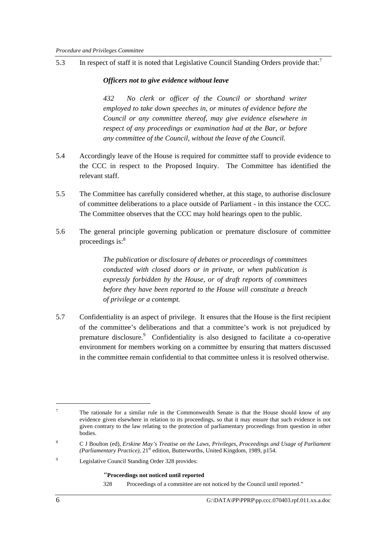5.3 In respect of staff it is noted that Legislative Council Standing Orders provide that:<sup>7</sup>

# *Officers not to give evidence without leave*

*432 No clerk or officer of the Council or shorthand writer employed to take down speeches in, or minutes of evidence before the Council or any committee thereof, may give evidence elsewhere in respect of any proceedings or examination had at the Bar, or before any committee of the Council, without the leave of the Council.* 

- 5.4 Accordingly leave of the House is required for committee staff to provide evidence to the CCC in respect to the Proposed Inquiry. The Committee has identified the relevant staff.
- 5.5 The Committee has carefully considered whether, at this stage, to authorise disclosure of committee deliberations to a place outside of Parliament - in this instance the CCC. The Committee observes that the CCC may hold hearings open to the public.
- 5.6 The general principle governing publication or premature disclosure of committee proceedings is: $8<sup>8</sup>$

*The publication or disclosure of debates or proceedings of committees conducted with closed doors or in private, or when publication is expressly forbidden by the House, or of draft reports of committees before they have been reported to the House will constitute a breach of privilege or a contempt.* 

5.7 Confidentiality is an aspect of privilege. It ensures that the House is the first recipient of the committee's deliberations and that a committee's work is not prejudiced by premature disclosure.<sup>9</sup> Confidentiality is also designed to facilitate a co-operative environment for members working on a committee by ensuring that matters discussed in the committee remain confidential to that committee unless it is resolved otherwise.

#### *"***Proceedings not noticed until reported**

328 Proceedings of a committee are not noticed by the Council until reported."

 $\overline{a}$ 

<sup>7</sup> The rationale for a similar rule in the Commonwealth Senate is that the House should know of any evidence given elsewhere in relation to its proceedings, so that it may ensure that such evidence is not given contrary to the law relating to the protection of parliamentary proceedings from question in other bodies.

<sup>8</sup> C J Boulton (ed), *Erskine May's Treatise on the Laws, Privileges, Proceedings and Usage of Parliament (Parliamentary Practice)*, 21<sup>st</sup> edition, Butterworths, United Kingdom, 1989, p154.

 $\overline{9}$ Legislative Council Standing Order 328 provides: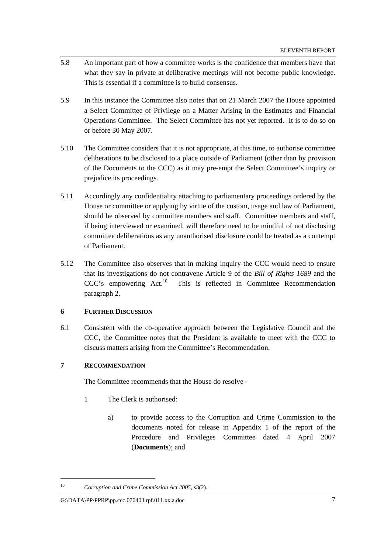- 5.8 An important part of how a committee works is the confidence that members have that what they say in private at deliberative meetings will not become public knowledge. This is essential if a committee is to build consensus.
- 5.9 In this instance the Committee also notes that on 21 March 2007 the House appointed a Select Committee of Privilege on a Matter Arising in the Estimates and Financial Operations Committee. The Select Committee has not yet reported. It is to do so on or before 30 May 2007.
- 5.10 The Committee considers that it is not appropriate, at this time, to authorise committee deliberations to be disclosed to a place outside of Parliament (other than by provision of the Documents to the CCC) as it may pre-empt the Select Committee's inquiry or prejudice its proceedings.
- 5.11 Accordingly any confidentiality attaching to parliamentary proceedings ordered by the House or committee or applying by virtue of the custom, usage and law of Parliament, should be observed by committee members and staff. Committee members and staff, if being interviewed or examined, will therefore need to be mindful of not disclosing committee deliberations as any unauthorised disclosure could be treated as a contempt of Parliament.
- 5.12 The Committee also observes that in making inquiry the CCC would need to ensure that its investigations do not contravene Article 9 of the *Bill of Rights 1689* and the CCC's empowering Act.<sup>10</sup> This is reflected in Committee Recommendation paragraph 2.

## **6 FURTHER DISCUSSION**

6.1 Consistent with the co-operative approach between the Legislative Council and the CCC, the Committee notes that the President is available to meet with the CCC to discuss matters arising from the Committee's Recommendation.

# **7 RECOMMENDATION**

 $\overline{a}$ 

The Committee recommends that the House do resolve -

- 1 The Clerk is authorised:
	- a) to provide access to the Corruption and Crime Commission to the documents noted for release in Appendix 1 of the report of the Procedure and Privileges Committee dated 4 April 2007 (**Documents**); and

<sup>10</sup> *Corruption and Crime Commission Act 2005*, s3(2).

G:\DATA\PP\PPRP\pp.ccc.070403.rpf.011.xx.a.doc 7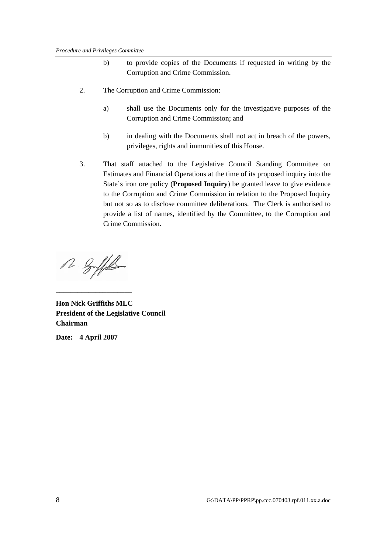- b) to provide copies of the Documents if requested in writing by the Corruption and Crime Commission.
- 2. The Corruption and Crime Commission:
	- a) shall use the Documents only for the investigative purposes of the Corruption and Crime Commission; and
	- b) in dealing with the Documents shall not act in breach of the powers, privileges, rights and immunities of this House.
- 3. That staff attached to the Legislative Council Standing Committee on Estimates and Financial Operations at the time of its proposed inquiry into the State's iron ore policy (**Proposed Inquiry**) be granted leave to give evidence to the Corruption and Crime Commission in relation to the Proposed Inquiry but not so as to disclose committee deliberations. The Clerk is authorised to provide a list of names, identified by the Committee, to the Corruption and Crime Commission.

12 Soffel

\_\_\_\_\_\_\_\_\_\_\_\_\_\_\_\_\_\_\_\_\_

**Hon Nick Griffiths MLC President of the Legislative Council Chairman** 

**Date: 4 April 2007**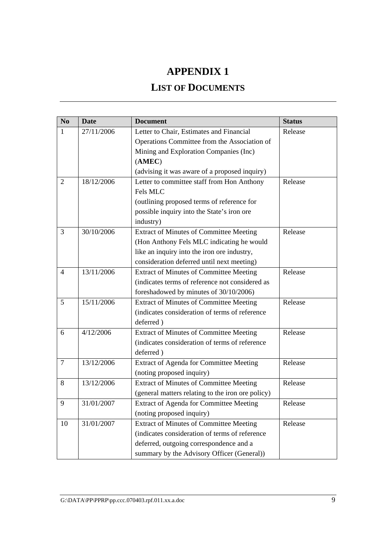# **APPENDIX 1**

# **LIST OF DOCUMENTS**

| N <sub>0</sub> | <b>Date</b> | <b>Document</b>                                   | <b>Status</b> |
|----------------|-------------|---------------------------------------------------|---------------|
| 1              | 27/11/2006  | Letter to Chair, Estimates and Financial          | Release       |
|                |             | Operations Committee from the Association of      |               |
|                |             | Mining and Exploration Companies (Inc)            |               |
|                |             | (AMEC)                                            |               |
|                |             | (advising it was aware of a proposed inquiry)     |               |
| 2              | 18/12/2006  | Letter to committee staff from Hon Anthony        | Release       |
|                |             | Fels MLC                                          |               |
|                |             | (outlining proposed terms of reference for        |               |
|                |             | possible inquiry into the State's iron ore        |               |
|                |             | industry)                                         |               |
| 3              | 30/10/2006  | <b>Extract of Minutes of Committee Meeting</b>    | Release       |
|                |             | (Hon Anthony Fels MLC indicating he would         |               |
|                |             | like an inquiry into the iron ore industry,       |               |
|                |             | consideration deferred until next meeting)        |               |
| $\overline{4}$ | 13/11/2006  | <b>Extract of Minutes of Committee Meeting</b>    | Release       |
|                |             | (indicates terms of reference not considered as   |               |
|                |             | foreshadowed by minutes of 30/10/2006)            |               |
| 5              | 15/11/2006  | <b>Extract of Minutes of Committee Meeting</b>    | Release       |
|                |             | (indicates consideration of terms of reference    |               |
|                |             | deferred)                                         |               |
| 6              | 4/12/2006   | <b>Extract of Minutes of Committee Meeting</b>    | Release       |
|                |             | (indicates consideration of terms of reference    |               |
|                |             | deferred)                                         |               |
| $\tau$         | 13/12/2006  | Extract of Agenda for Committee Meeting           | Release       |
|                |             | (noting proposed inquiry)                         |               |
| 8              | 13/12/2006  | <b>Extract of Minutes of Committee Meeting</b>    | Release       |
|                |             | (general matters relating to the iron ore policy) |               |
| 9              | 31/01/2007  | Extract of Agenda for Committee Meeting           | Release       |
|                |             | (noting proposed inquiry)                         |               |
| 10             | 31/01/2007  | <b>Extract of Minutes of Committee Meeting</b>    | Release       |
|                |             | (indicates consideration of terms of reference    |               |
|                |             | deferred, outgoing correspondence and a           |               |
|                |             | summary by the Advisory Officer (General))        |               |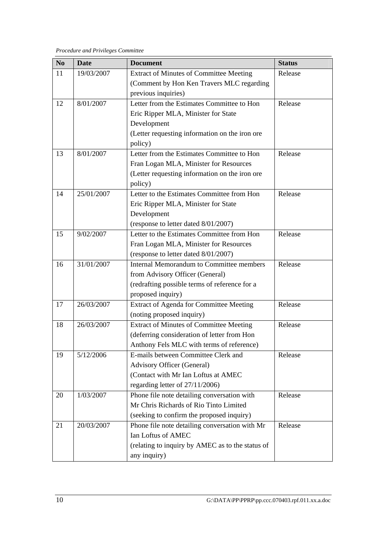*Procedure and Privileges Committee* 

| N <sub>0</sub> | <b>Date</b> | <b>Document</b>                                  | <b>Status</b> |
|----------------|-------------|--------------------------------------------------|---------------|
| 11             | 19/03/2007  | <b>Extract of Minutes of Committee Meeting</b>   | Release       |
|                |             | (Comment by Hon Ken Travers MLC regarding        |               |
|                |             | previous inquiries)                              |               |
| 12             | 8/01/2007   | Letter from the Estimates Committee to Hon       | Release       |
|                |             | Eric Ripper MLA, Minister for State              |               |
|                |             | Development                                      |               |
|                |             | (Letter requesting information on the iron ore   |               |
|                |             | policy)                                          |               |
| 13             | 8/01/2007   | Letter from the Estimates Committee to Hon       | Release       |
|                |             | Fran Logan MLA, Minister for Resources           |               |
|                |             | (Letter requesting information on the iron ore   |               |
|                |             | policy)                                          |               |
| 14             | 25/01/2007  | Letter to the Estimates Committee from Hon       | Release       |
|                |             | Eric Ripper MLA, Minister for State              |               |
|                |             | Development                                      |               |
|                |             | (response to letter dated 8/01/2007)             |               |
| 15             | 9/02/2007   | Letter to the Estimates Committee from Hon       | Release       |
|                |             | Fran Logan MLA, Minister for Resources           |               |
|                |             | (response to letter dated 8/01/2007)             |               |
| 16             | 31/01/2007  | <b>Internal Memorandum to Committee members</b>  | Release       |
|                |             | from Advisory Officer (General)                  |               |
|                |             | (redrafting possible terms of reference for a    |               |
|                |             | proposed inquiry)                                |               |
| 17             | 26/03/2007  | Extract of Agenda for Committee Meeting          | Release       |
|                |             | (noting proposed inquiry)                        |               |
| 18             | 26/03/2007  | <b>Extract of Minutes of Committee Meeting</b>   | Release       |
|                |             | (deferring consideration of letter from Hon      |               |
|                |             | Anthony Fels MLC with terms of reference)        |               |
| 19             | 5/12/2006   | E-mails between Committee Clerk and              | Release       |
|                |             | <b>Advisory Officer (General)</b>                |               |
|                |             | (Contact with Mr Ian Loftus at AMEC              |               |
|                |             | regarding letter of 27/11/2006)                  |               |
| 20             | 1/03/2007   | Phone file note detailing conversation with      | Release       |
|                |             | Mr Chris Richards of Rio Tinto Limited           |               |
|                |             | (seeking to confirm the proposed inquiry)        |               |
| 21             | 20/03/2007  | Phone file note detailing conversation with Mr   | Release       |
|                |             | Ian Loftus of AMEC                               |               |
|                |             | (relating to inquiry by AMEC as to the status of |               |
|                |             | any inquiry)                                     |               |